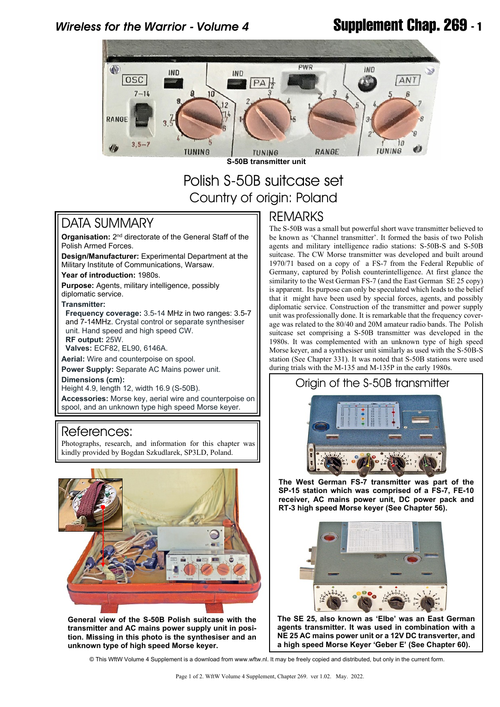# *Wireless for the Warrior - Volume 4* **Supplement Chap. 269 - 1**



# Polish S-50B suitcase set Country of origin: Poland

## DATA SUMMARY

Organisation: 2<sup>nd</sup> directorate of the General Staff of the Polish Armed Forces.

**Design/Manufacturer:** Experimental Department at the Military Institute of Communications, Warsaw.

**Year of introduction:** 1980s.

**Purpose:** Agents, military intelligence, possibly diplomatic service.

#### **Transmitter:**

 **Frequency coverage:** 3.5-14 MHz in two ranges: 3.5-7 and 7-14MHz. Crystal control or separate synthesiser unit. Hand speed and high speed CW.

 **RF output:** 25W.  **Valves:** ECF82, EL90, 6146A.

**Aerial:** Wire and counterpoise on spool.

**Power Supply:** Separate AC Mains power unit.

**Dimensions (cm):**

Height 4.9, length 12, width 16.9 (S-50B).

**Accessories:** Morse key, aerial wire and counterpoise on spool, and an unknown type high speed Morse keyer.

#### References:

Photographs, research, and information for this chapter was kindly provided by Bogdan Szkudlarek, SP3LD, Poland.



**General view of the S-50B Polish suitcase with the transmitter and AC mains power supply unit in position. Missing in this photo is the synthesiser and an unknown type of high speed Morse keyer.**

### REMARKS

The S-50B was a small but powerful short wave transmitter believed to be known as 'Channel transmitter'. It formed the basis of two Polish agents and military intelligence radio stations: S-50B-S and S-50B suitcase. The CW Morse transmitter was developed and built around 1970/71 based on a copy of a FS-7 from the Federal Republic of Germany, captured by Polish counterintelligence. At first glance the similarity to the West German FS-7 (and the East German SE 25 copy) is apparent. Its purpose can only be speculated which leads to the belief that it might have been used by special forces, agents, and possibly diplomatic service. Construction of the transmitter and power supply unit was professionally done. It is remarkable that the frequency coverage was related to the 80/40 and 20M amateur radio bands. The Polish suitcase set comprising a S-50B transmitter was developed in the 1980s. It was complemented with an unknown type of high speed Morse keyer, and a synthesiser unit similarly as used with the S-50B-S station (See Chapter 331). It was noted that S-50B stations were used during trials with the M-135 and M-135P in the early 1980s.



**The West German FS-7 transmitter was part of the SP-15 station which was comprised of a FS-7, FE-10 receiver, AC mains power unit, DC power pack and RT-3 high speed Morse keyer (See Chapter 56).**



**The SE 25, also known as 'Elbe' was an East German agents transmitter. It was used in combination with a NE 25 AC mains power unit or a 12V DC transverter, and a high speed Morse Keyer 'Geber E' (See Chapter 60).**

© This WftW Volume 4 Supplement is a download from www.wftw.nl. It may be freely copied and distributed, but only in the current form.